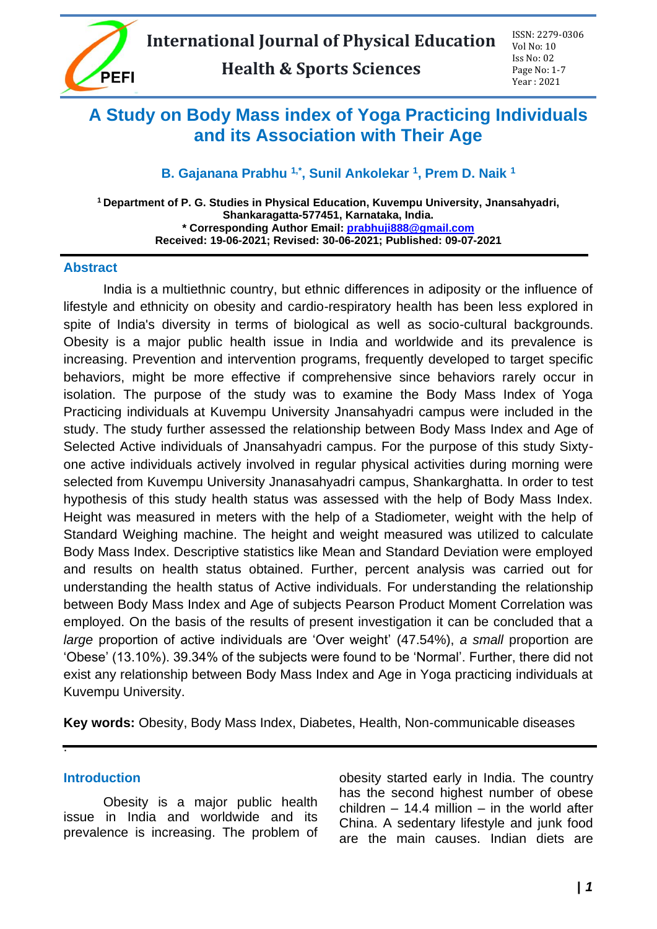

# **A Study on Body Mass index of Yoga Practicing Individuals and its Association with Their Age**

## **B. Gajanana Prabhu 1,\* , Sunil Ankolekar <sup>1</sup> , Prem D. Naik <sup>1</sup>**

**<sup>1</sup> Department of P. G. Studies in Physical Education, Kuvempu University, Jnansahyadri, Shankaragatta-577451, Karnataka, India. \* Corresponding Author Email: [prabhuji888@gmail.com](mailto:prabhuji888@gmail.com) Received: 19-06-2021; Revised: 30-06-2021; Published: 09-07-2021**

#### **Abstract**

India is a multiethnic country, but ethnic differences in adiposity or the influence of lifestyle and ethnicity on obesity and cardio-respiratory health has been less explored in spite of India's diversity in terms of biological as well as socio-cultural backgrounds. Obesity is a major public health issue in India and worldwide and its prevalence is increasing. Prevention and intervention programs, frequently developed to target specific behaviors, might be more effective if comprehensive since behaviors rarely occur in isolation. The purpose of the study was to examine the Body Mass Index of Yoga Practicing individuals at Kuvempu University Jnansahyadri campus were included in the study. The study further assessed the relationship between Body Mass Index and Age of Selected Active individuals of Jnansahyadri campus. For the purpose of this study Sixtyone active individuals actively involved in regular physical activities during morning were selected from Kuvempu University Jnanasahyadri campus, Shankarghatta. In order to test hypothesis of this study health status was assessed with the help of Body Mass Index. Height was measured in meters with the help of a Stadiometer, weight with the help of Standard Weighing machine. The height and weight measured was utilized to calculate Body Mass Index. Descriptive statistics like Mean and Standard Deviation were employed and results on health status obtained. Further, percent analysis was carried out for understanding the health status of Active individuals. For understanding the relationship between Body Mass Index and Age of subjects Pearson Product Moment Correlation was employed. On the basis of the results of present investigation it can be concluded that a *large* proportion of active individuals are 'Over weight' (47.54%), *a small* proportion are 'Obese' (13.10%). 39.34% of the subjects were found to be 'Normal'. Further, there did not exist any relationship between Body Mass Index and Age in Yoga practicing individuals at Kuvempu University.

**Key words:** Obesity, Body Mass Index, Diabetes, Health, Non-communicable diseases

#### **Introduction**

.

Obesity is a major public health issue in India and worldwide and its prevalence is increasing. The problem of obesity started early in India. The country has the second highest number of obese children  $-$  14.4 million  $-$  in the world after China. A sedentary lifestyle and junk food are the main causes. Indian diets are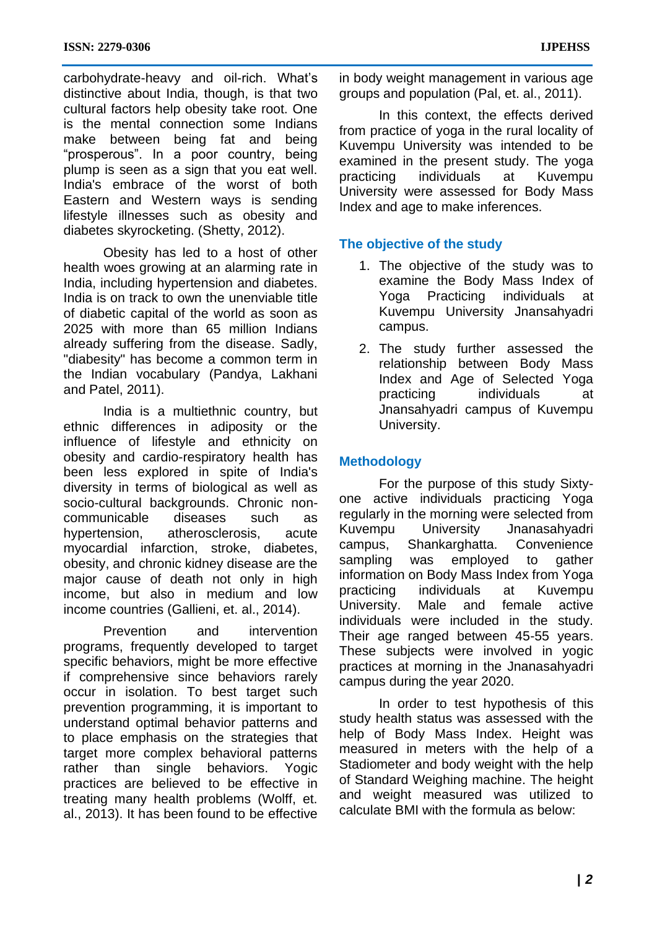carbohydrate-heavy and oil-rich. What's distinctive about India, though, is that two cultural factors help obesity take root. One is the mental connection some Indians make between being fat and being "prosperous". In a poor country, being plump is seen as a sign that you eat well. India's embrace of the worst of both Eastern and Western ways is sending lifestyle illnesses such as obesity and diabetes skyrocketing. (Shetty, 2012).

Obesity has led to a host of other health woes growing at an alarming rate in India, including hypertension and diabetes. India is on track to own the unenviable title of diabetic capital of the world as soon as 2025 with more than 65 million Indians already suffering from the disease. Sadly, "diabesity" has become a common term in the Indian vocabulary (Pandya, Lakhani and Patel, 2011).

India is a multiethnic country, but ethnic differences in adiposity or the influence of lifestyle and ethnicity on obesity and cardio-respiratory health has been less explored in spite of India's diversity in terms of biological as well as socio-cultural backgrounds. Chronic noncommunicable diseases such as hypertension, atherosclerosis, acute myocardial infarction, stroke, diabetes, obesity, and chronic kidney disease are the major cause of death not only in high income, but also in medium and low income countries (Gallieni, et. al., 2014).

Prevention and intervention programs, frequently developed to target specific behaviors, might be more effective if comprehensive since behaviors rarely occur in isolation. To best target such prevention programming, it is important to understand optimal behavior patterns and to place emphasis on the strategies that target more complex behavioral patterns rather than single behaviors. Yogic practices are believed to be effective in treating many health problems (Wolff, et. al., 2013). It has been found to be effective in body weight management in various age groups and population (Pal, et. al., 2011).

In this context, the effects derived from practice of yoga in the rural locality of Kuvempu University was intended to be examined in the present study. The yoga practicing individuals at Kuvempu University were assessed for Body Mass Index and age to make inferences.

## **The objective of the study**

- 1. The objective of the study was to examine the Body Mass Index of Yoga Practicing individuals at Kuvempu University Jnansahyadri campus.
- 2. The study further assessed the relationship between Body Mass Index and Age of Selected Yoga practicing individuals at Jnansahyadri campus of Kuvempu University.

# **Methodology**

For the purpose of this study Sixtyone active individuals practicing Yoga regularly in the morning were selected from Kuvempu University Jnanasahyadri campus, Shankarghatta. Convenience sampling was employed to gather information on Body Mass Index from Yoga practicing individuals at Kuvempu University. Male and female active individuals were included in the study. Their age ranged between 45-55 years. These subjects were involved in yogic practices at morning in the Jnanasahyadri campus during the year 2020.

In order to test hypothesis of this study health status was assessed with the help of Body Mass Index. Height was measured in meters with the help of a Stadiometer and body weight with the help of Standard Weighing machine. The height and weight measured was utilized to calculate BMI with the formula as below: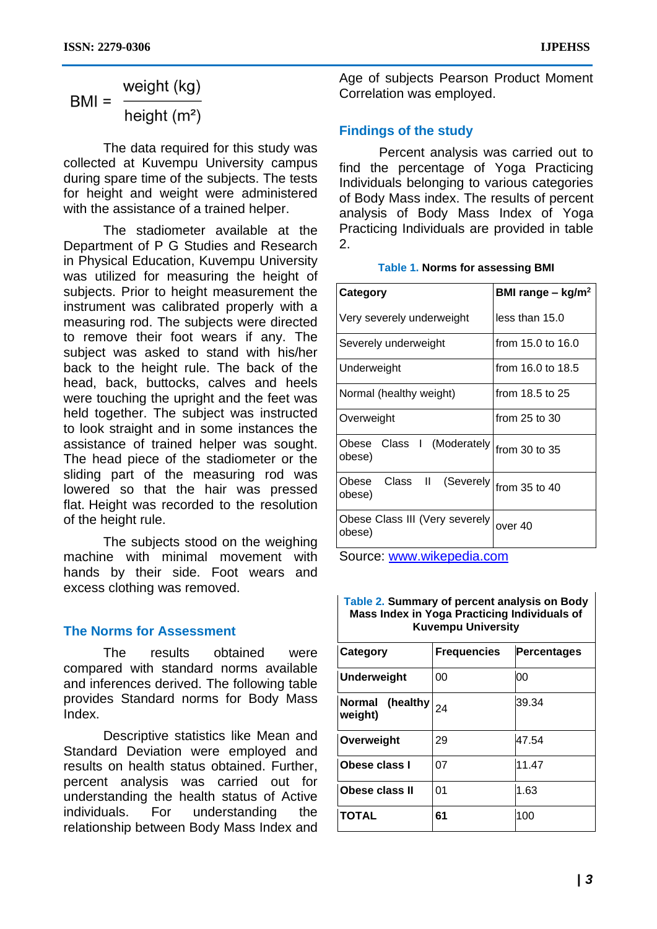## weight (kg)  $BMI =$ height  $(m<sup>2</sup>)$

The data required for this study was collected at Kuvempu University campus during spare time of the subjects. The tests for height and weight were administered with the assistance of a trained helper.

The stadiometer available at the Department of P G Studies and Research in Physical Education, Kuvempu University was utilized for measuring the height of subjects. Prior to height measurement the instrument was calibrated properly with a measuring rod. The subjects were directed to remove their foot wears if any. The subject was asked to stand with his/her back to the height rule. The back of the head, back, buttocks, calves and heels were touching the upright and the feet was held together. The subject was instructed to look straight and in some instances the assistance of trained helper was sought. The head piece of the stadiometer or the sliding part of the measuring rod was lowered so that the hair was pressed flat. Height was recorded to the resolution of the height rule.

The subjects stood on the weighing machine with minimal movement with hands by their side. Foot wears and excess clothing was removed.

#### **The Norms for Assessment**

The results obtained were compared with standard norms available and inferences derived. The following table provides Standard norms for Body Mass Index.

Descriptive statistics like Mean and Standard Deviation were employed and results on health status obtained. Further, percent analysis was carried out for understanding the health status of Active individuals. For understanding the relationship between Body Mass Index and Age of subjects Pearson Product Moment Correlation was employed.

# **Findings of the study**

Percent analysis was carried out to find the percentage of Yoga Practicing Individuals belonging to various categories of Body Mass index. The results of percent analysis of Body Mass Index of Yoga Practicing Individuals are provided in table 2.

#### **Table 1. Norms for assessing BMI**

| Category                                 | BMI range $-$ kg/m <sup>2</sup> |  |
|------------------------------------------|---------------------------------|--|
| Very severely underweight                | less than 15.0                  |  |
| Severely underweight                     | from 15.0 to 16.0               |  |
| Underweight                              | from 16.0 to 18.5               |  |
| Normal (healthy weight)                  | from 18.5 to 25                 |  |
| Overweight                               | from $25$ to $30$               |  |
| Class I (Moderately<br>Obese<br>obese)   | from $30$ to $35$               |  |
| Class II (Severely)<br>Obese<br>obese)   | from 35 to 40                   |  |
| Obese Class III (Very severely<br>obese) | over 40                         |  |

Source: [www.wikepedia.com](http://www.wikepedia.com/)

| Table 2. Summary of percent analysis on Body<br>Mass Index in Yoga Practicing Individuals of<br><b>Kuvempu University</b> |                    |                    |  |  |  |
|---------------------------------------------------------------------------------------------------------------------------|--------------------|--------------------|--|--|--|
| Category                                                                                                                  | <b>Frequencies</b> | <b>Percentages</b> |  |  |  |
| <b>Underweight</b>                                                                                                        | 00                 | იი                 |  |  |  |
| Normal (healthy)<br>weight)                                                                                               | 24                 | 39.34              |  |  |  |
| Overweight                                                                                                                | 29                 | 47.54              |  |  |  |
| Obese class I                                                                                                             | 07                 | 11.47              |  |  |  |
| Obese class II                                                                                                            | 01                 | 1.63               |  |  |  |
| <b>TOTAL</b>                                                                                                              | 61                 | 100                |  |  |  |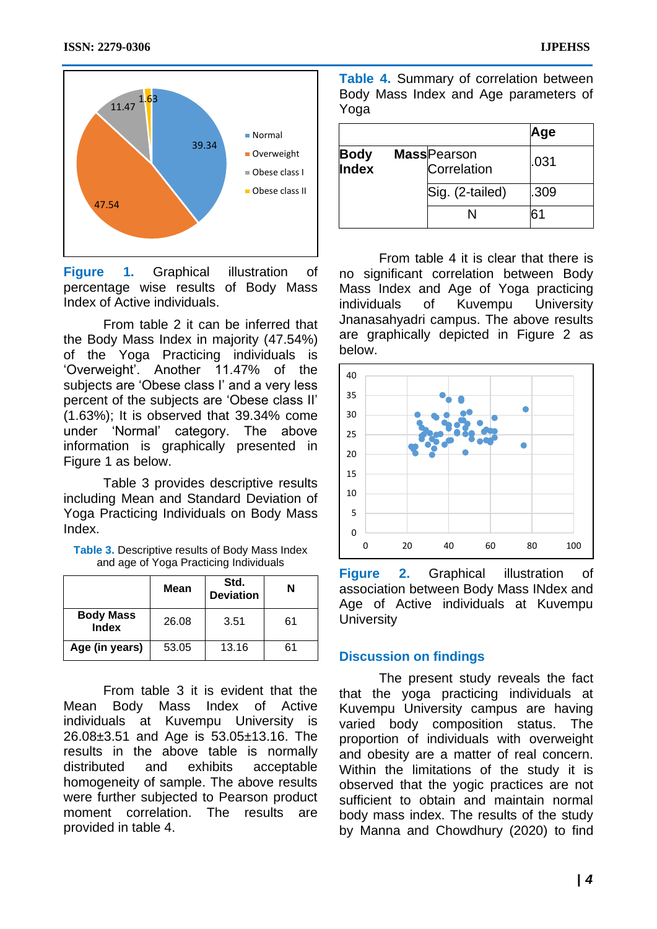

**Figure 1.** Graphical illustration of percentage wise results of Body Mass Index of Active individuals.

From table 2 it can be inferred that the Body Mass Index in majority (47.54%) of the Yoga Practicing individuals is 'Overweight'. Another 11.47% of the subjects are 'Obese class I' and a very less percent of the subjects are 'Obese class II' (1.63%); It is observed that 39.34% come under 'Normal' category. The above information is graphically presented in Figure 1 as below.

Table 3 provides descriptive results including Mean and Standard Deviation of Yoga Practicing Individuals on Body Mass Index.

| <b>Table 3.</b> Descriptive results of Body Mass Index |  |  |
|--------------------------------------------------------|--|--|
| and age of Yoga Practicing Individuals                 |  |  |

|                                  | Mean  | Std.<br><b>Deviation</b> | N  |
|----------------------------------|-------|--------------------------|----|
| <b>Body Mass</b><br><b>Index</b> | 26.08 | 3.51                     | 61 |
| Age (in years)                   | 53.05 | 13.16                    | 61 |

From table 3 it is evident that the Mean Body Mass Index of Active individuals at Kuvempu University is 26.08±3.51 and Age is 53.05±13.16. The results in the above table is normally distributed and exhibits acceptable homogeneity of sample. The above results were further subjected to Pearson product moment correlation. The results are provided in table 4.

**Table 4.** Summary of correlation between Body Mass Index and Age parameters of Yoga

|               |                                    | Age  |
|---------------|------------------------------------|------|
| Body<br>Index | <b>Mass</b> Pearson<br>Correlation | .031 |
|               | Sig. (2-tailed)                    | .309 |
|               |                                    |      |

From table 4 it is clear that there is no significant correlation between Body Mass Index and Age of Yoga practicing individuals of Kuvempu University Jnanasahyadri campus. The above results are graphically depicted in Figure 2 as below.



**Figure 2.** Graphical illustration of association between Body Mass INdex and Age of Active individuals at Kuvempu **University** 

## **Discussion on findings**

The present study reveals the fact that the yoga practicing individuals at Kuvempu University campus are having varied body composition status. The proportion of individuals with overweight and obesity are a matter of real concern. Within the limitations of the study it is observed that the yogic practices are not sufficient to obtain and maintain normal body mass index. The results of the study by Manna and Chowdhury (2020) to find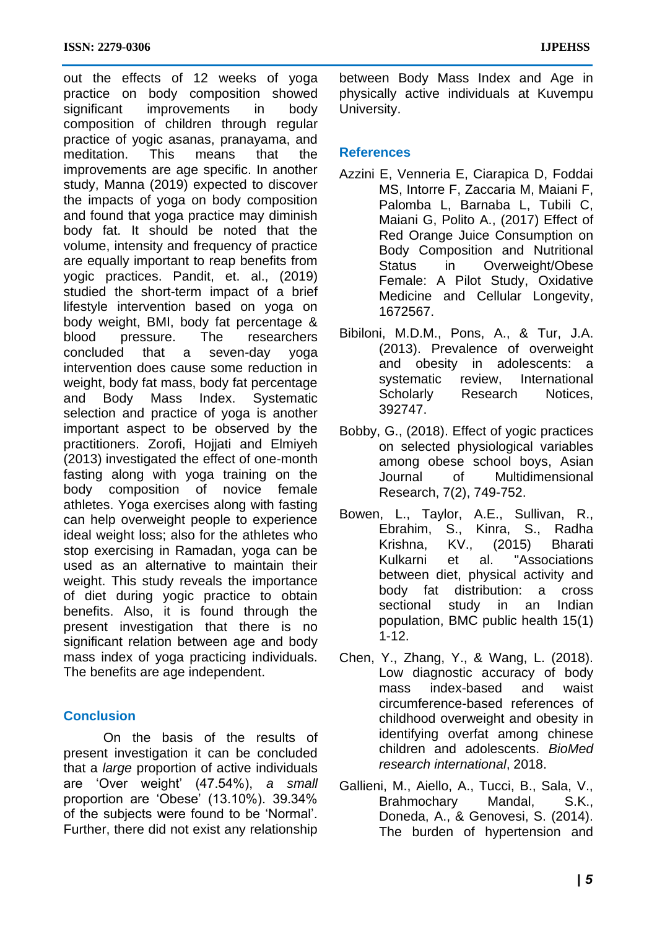out the effects of 12 weeks of yoga practice on body composition showed significant improvements in body composition of children through regular practice of yogic asanas, pranayama, and meditation. This means that the improvements are age specific. In another study, Manna (2019) expected to discover the impacts of yoga on body composition and found that yoga practice may diminish body fat. It should be noted that the volume, intensity and frequency of practice are equally important to reap benefits from yogic practices. Pandit, et. al., (2019) studied the short-term impact of a brief lifestyle intervention based on yoga on body weight, BMI, body fat percentage & blood pressure. The researchers concluded that a seven-day yoga intervention does cause some reduction in weight, body fat mass, body fat percentage and Body Mass Index. Systematic selection and practice of yoga is another important aspect to be observed by the practitioners. Zorofi, Hojjati and Elmiyeh (2013) investigated the effect of one-month fasting along with yoga training on the body composition of novice female athletes. Yoga exercises along with fasting can help overweight people to experience ideal weight loss; also for the athletes who stop exercising in Ramadan, yoga can be used as an alternative to maintain their weight. This study reveals the importance of diet during yogic practice to obtain benefits. Also, it is found through the present investigation that there is no significant relation between age and body mass index of yoga practicing individuals. The benefits are age independent.

## **Conclusion**

On the basis of the results of present investigation it can be concluded that a *large* proportion of active individuals are 'Over weight' (47.54%), *a small* proportion are 'Obese' (13.10%). 39.34% of the subjects were found to be 'Normal'. Further, there did not exist any relationship

between Body Mass Index and Age in physically active individuals at Kuvempu University.

## **References**

- Azzini E, Venneria E, Ciarapica D, Foddai MS, Intorre F, Zaccaria M, Maiani F, Palomba L, Barnaba L, Tubili C, Maiani G, Polito A., (2017) Effect of Red Orange Juice Consumption on Body Composition and Nutritional Status in Overweight/Obese Female: A Pilot Study, Oxidative Medicine and Cellular Longevity, 1672567.
- Bibiloni, M.D.M., Pons, A., & Tur, J.A. (2013). Prevalence of overweight and obesity in adolescents: a systematic review, International Scholarly Research Notices, 392747.
- Bobby, G., (2018). Effect of yogic practices on selected physiological variables among obese school boys, Asian Journal of Multidimensional Research, 7(2), 749-752.
- Bowen, L., Taylor, A.E., Sullivan, R., Ebrahim, S., Kinra, S., Radha Krishna, KV., (2015) Bharati Kulkarni et al. "Associations between diet, physical activity and body fat distribution: a cross sectional study in an Indian population, BMC public health 15(1) 1-12.
- Chen, Y., Zhang, Y., & Wang, L. (2018). Low diagnostic accuracy of body mass index-based and waist circumference-based references of childhood overweight and obesity in identifying overfat among chinese children and adolescents. *BioMed research international*, 2018.
- Gallieni, M., Aiello, A., Tucci, B., Sala, V., Brahmochary Mandal, S.K., Doneda, A., & Genovesi, S. (2014). The burden of hypertension and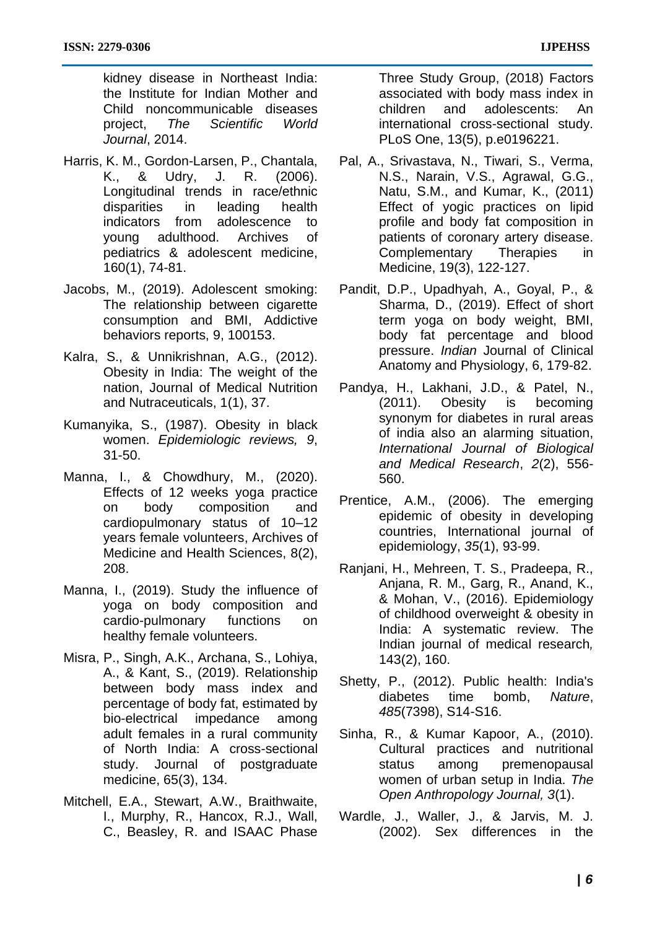kidney disease in Northeast India: the Institute for Indian Mother and Child noncommunicable diseases project, *The Scientific World Journal*, 2014.

- Harris, K. M., Gordon-Larsen, P., Chantala, K., & Udry, J. R. (2006). Longitudinal trends in race/ethnic disparities in leading health indicators from adolescence to young adulthood. Archives of pediatrics & adolescent medicine, 160(1), 74-81.
- Jacobs, M., (2019). Adolescent smoking: The relationship between cigarette consumption and BMI, Addictive behaviors reports, 9, 100153.
- Kalra, S., & Unnikrishnan, A.G., (2012). Obesity in India: The weight of the nation, Journal of Medical Nutrition and Nutraceuticals, 1(1), 37.
- Kumanyika, S., (1987). Obesity in black women. *Epidemiologic reviews, 9*, 31-50.
- Manna, I., & Chowdhury, M., (2020). Effects of 12 weeks yoga practice on body composition and cardiopulmonary status of 10–12 years female volunteers, Archives of Medicine and Health Sciences, 8(2), 208.
- Manna, I., (2019). Study the influence of yoga on body composition and cardio-pulmonary functions on healthy female volunteers.
- Misra, P., Singh, A.K., Archana, S., Lohiya, A., & Kant, S., (2019). Relationship between body mass index and percentage of body fat, estimated by bio-electrical impedance among adult females in a rural community of North India: A cross-sectional study. Journal of postgraduate medicine, 65(3), 134.
- Mitchell, E.A., Stewart, A.W., Braithwaite, I., Murphy, R., Hancox, R.J., Wall, C., Beasley, R. and ISAAC Phase

Three Study Group, (2018) Factors associated with body mass index in children and adolescents: An international cross-sectional study. PLoS One, 13(5), p.e0196221.

- Pal, A., Srivastava, N., Tiwari, S., Verma, N.S., Narain, V.S., Agrawal, G.G., Natu, S.M., and Kumar, K., (2011) Effect of yogic practices on lipid profile and body fat composition in patients of coronary artery disease. Complementary Therapies in Medicine, 19(3), 122-127.
- Pandit, D.P., Upadhyah, A., Goyal, P., & Sharma, D., (2019). Effect of short term yoga on body weight, BMI, body fat percentage and blood pressure. *Indian* Journal of Clinical Anatomy and Physiology, 6, 179-82.
- Pandya, H., Lakhani, J.D., & Patel, N., (2011). Obesity is becoming synonym for diabetes in rural areas of india also an alarming situation, *International Journal of Biological and Medical Research*, *2*(2), 556- 560.
- Prentice, A.M., (2006). The emerging epidemic of obesity in developing countries, International journal of epidemiology, *35*(1), 93-99.
- Ranjani, H., Mehreen, T. S., Pradeepa, R., Anjana, R. M., Garg, R., Anand, K., & Mohan, V., (2016). Epidemiology of childhood overweight & obesity in India: A systematic review. The Indian journal of medical research*,*  143(2), 160.
- Shetty, P., (2012). Public health: India's diabetes time bomb, *Nature*, *485*(7398), S14-S16.
- Sinha, R., & Kumar Kapoor, A., (2010). Cultural practices and nutritional status among premenopausal women of urban setup in India. *The Open Anthropology Journal, 3*(1).
- Wardle, J., Waller, J., & Jarvis, M. J. (2002). Sex differences in the